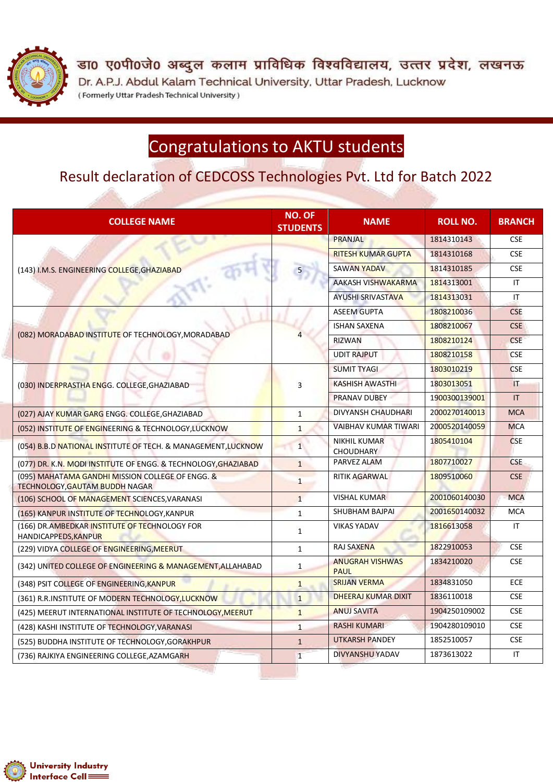

डा0 ए0पी0जे0 अब्दुल कलाम प्राविधिक विश्वविद्यालय, उत्तर प्रदेश, लखनऊ Dr. A.P.J. Abdul Kalam Technical University, Uttar Pradesh, Lucknow (Formerly Uttar Pradesh Technical University)

# Congratulations to AKTU students

### Result declaration of CEDCOSS Technologies Pvt. Ltd for Batch 2022

| <b>COLLEGE NAME</b>                                                                       | <b>NO. OF</b><br><b>STUDENTS</b> | <b>NAME</b>                             | <b>ROLL NO.</b> | <b>BRANCH</b>          |
|-------------------------------------------------------------------------------------------|----------------------------------|-----------------------------------------|-----------------|------------------------|
|                                                                                           |                                  | <b>PRANJAL</b>                          | 1814310143      | <b>CSE</b>             |
| (143) I.M.S. ENGINEERING COLLEGE, GHAZIABAD                                               |                                  | <b>RITESH KUMAR GUPTA</b>               | 1814310168      | <b>CSE</b>             |
|                                                                                           |                                  | <b>SAWAN YADAV</b>                      | 1814310185      | <b>CSE</b>             |
|                                                                                           |                                  | AAKASH VISHWAKARMA                      | 1814313001      | IT.                    |
|                                                                                           |                                  | <b>AYUSHI SRIVASTAVA</b>                | 1814313031      | $\mathsf{I}\mathsf{T}$ |
|                                                                                           |                                  | <b>ASEEM GUPTA</b>                      | 1808210036      | <b>CSE</b>             |
| (082) MORADABAD INSTITUTE OF TECHNOLOGY, MORADABAD                                        |                                  | <b>ISHAN SAXENA</b>                     | 1808210067      | <b>CSE</b>             |
|                                                                                           |                                  | <b>RIZWAN</b>                           | 1808210124      | <b>CSE</b>             |
|                                                                                           |                                  | <b>UDIT RAJPUT</b>                      | 1808210158      | <b>CSE</b>             |
| (030) INDERPRASTHA ENGG. COLLEGE, GHAZIABAD                                               | 3                                | <b>SUMIT TYAGI</b>                      | 1803010219      | <b>CSE</b>             |
|                                                                                           |                                  | <b>KASHISH AWASTHI</b>                  | 1803013051      | $\mathsf{I}\mathsf{T}$ |
|                                                                                           |                                  | <b>PRANAV DUBEY</b>                     | 1900300139001   | IT                     |
| (027) AJAY KUMAR GARG ENGG. COLLEGE, GHAZIABAD                                            | $\mathbf{1}$                     | DIVYANSH CHAUDHARI                      | 2000270140013   | <b>MCA</b>             |
| (052) INSTITUTE OF ENGINEERING & TECHNOLOGY, LUCKNOW                                      | $\mathbf{1}$                     | VAIBHAV KUMAR TIWARI                    | 2000520140059   | <b>MCA</b>             |
| (054) B.B.D NATIONAL INSTITUTE OF TECH. & MANAGEMENT, LUCKNOW                             | $1\overline{ }$                  | <b>NIKHIL KUMAR</b><br><b>CHOUDHARY</b> | 1805410104      | <b>CSE</b>             |
| (077) DR. K.N. MODI INSTITUTE OF ENGG. & TECHNOLOGY, GHAZIABAD                            | $\mathbf{1}$                     | PARVEZ ALAM                             | 1807710027      | <b>CSE</b>             |
| (095) MAHATAMA GANDHI MISSION COLLEGE OF ENGG. &<br><b>TECHNOLOGY, GAUTAM BUDDH NAGAR</b> | $\mathbf{1}$                     | <b>RITIK AGARWAL</b>                    | 1809510060      | <b>CSE</b>             |
| (106) SCHOOL OF MANAGEMENT SCIENCES, VARANASI                                             | $\mathbf{1}$                     | <b>VISHAL KUMAR</b>                     | 2001060140030   | <b>MCA</b>             |
| (165) KANPUR INSTITUTE OF TECHNOLOGY, KANPUR                                              | $\mathbf{1}$                     | SHUBHAM BAJPAI                          | 2001650140032   | <b>MCA</b>             |
| (166) DR. AMBEDKAR INSTITUTE OF TECHNOLOGY FOR<br>HANDICAPPEDS, KANPUR                    | $\mathbf{1}$                     | <b>VIKAS YADAV</b>                      | 1816613058      | $\mathsf{I}\mathsf{T}$ |
| (229) VIDYA COLLEGE OF ENGINEERING, MEERUT                                                | $\mathbf{1}$                     | <b>RAJ SAXENA</b>                       | 1822910053      | <b>CSE</b>             |
| (342) UNITED COLLEGE OF ENGINEERING & MANAGEMENT, ALLAHABAD                               | $\mathbf{1}$                     | <b>ANUGRAH VISHWAS</b><br><b>PAUL</b>   | 1834210020      | <b>CSE</b>             |
| (348) PSIT COLLEGE OF ENGINEERING, KANPUR                                                 | $\mathbf{1}$                     | <b>SRIJAN VERMA</b>                     | 1834831050      | <b>ECE</b>             |
| (361) R.R.INSTITUTE OF MODERN TECHNOLOGY, LUCKNOW                                         | $\mathbf{1}$                     | DHEERAJ KUMAR DIXIT                     | 1836110018      | <b>CSE</b>             |
| (425) MEERUT INTERNATIONAL INSTITUTE OF TECHNOLOGY, MEERUT                                | $\mathbf{1}$                     | <b>ANUJ SAVITA</b>                      | 1904250109002   | <b>CSE</b>             |
| (428) KASHI INSTITUTE OF TECHNOLOGY, VARANASI                                             | $\mathbf{1}$                     | <b>RASHI KUMARI</b>                     | 1904280109010   | <b>CSE</b>             |
| (525) BUDDHA INSTITUTE OF TECHNOLOGY, GORAKHPUR                                           | $\mathbf{1}$                     | <b>UTKARSH PANDEY</b>                   | 1852510057      | <b>CSE</b>             |
| (736) RAJKIYA ENGINEERING COLLEGE, AZAMGARH                                               | $\mathbf{1}$                     | DIVYANSHU YADAV                         | 1873613022      | $\mathsf{I}\mathsf{T}$ |

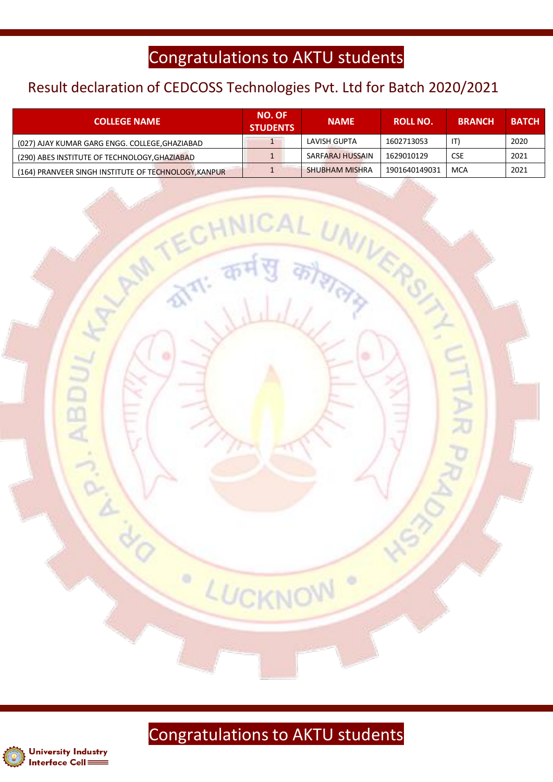## Congratulations to AKTU students

#### Result declaration of CEDCOSS Technologies Pvt. Ltd for Batch 2020/2021

| <b>COLLEGE NAME</b>                                  | <b>NO. OF</b><br><b>STUDENTS</b> | <b>NAME</b>           | <b>ROLL NO.</b> | <b>BRANCH</b> | <b>BATCH</b> |
|------------------------------------------------------|----------------------------------|-----------------------|-----------------|---------------|--------------|
| (027) AJAY KUMAR GARG ENGG. COLLEGE, GHAZIABAD       |                                  | LAVISH GUPTA          | 1602713053      | IT)           | 2020         |
| (290) ABES INSTITUTE OF TECHNOLOGY, GHAZIABAD        |                                  | SARFARAJ HUSSAIN      | 1629010129      | <b>CSE</b>    | 2021         |
| (164) PRANVEER SINGH INSTITUTE OF TECHNOLOGY, KANPUR |                                  | <b>SHUBHAM MISHRA</b> | 1901640149031   | MCA           | 2021         |

**AL UNIVERS** 



LUCKNO



ABL